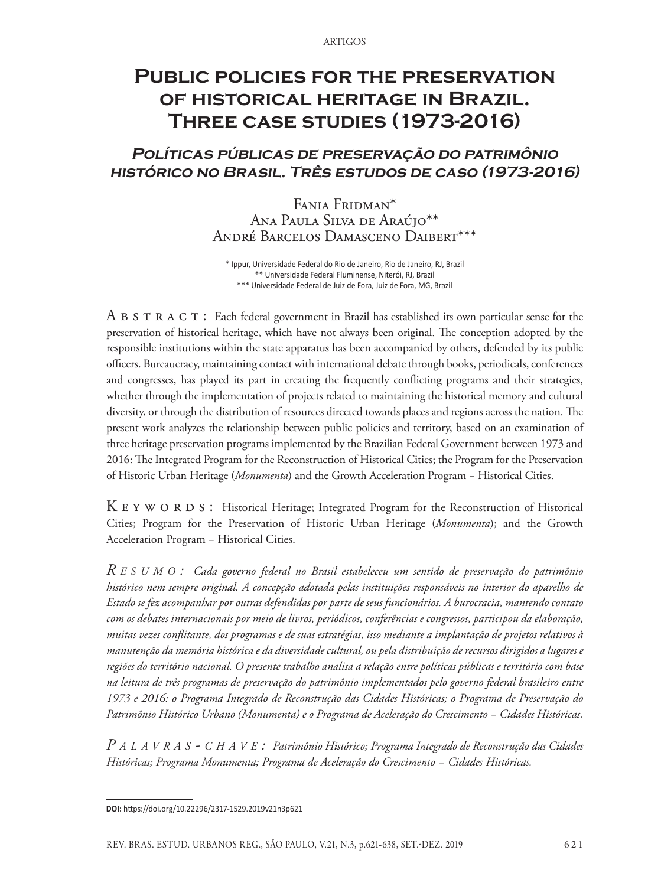# **Public policies for the preservation of historical heritage in Brazil. Three case studies (1973-2016)**

# **Políticas públicas de preservação do patrimônio histórico no Brasil. Três estudos de caso (1973-2016)**

Fania Fridman\* Ana Paula Silva de Araújo\*\* André Barcelos Damasceno Daibert\*\*\*

\* Ippur, Universidade Federal do Rio de Janeiro, Rio de Janeiro, RJ, Brazil \*\* Universidade Federal Fluminense, Niterói, RJ, Brazil \*\*\* Universidade Federal de Juiz de Fora, Juiz de Fora, MG, Brazil

A B S T R A C T : Each federal government in Brazil has established its own particular sense for the preservation of historical heritage, which have not always been original. The conception adopted by the responsible institutions within the state apparatus has been accompanied by others, defended by its public officers. Bureaucracy, maintaining contact with international debate through books, periodicals, conferences and congresses, has played its part in creating the frequently conflicting programs and their strategies, whether through the implementation of projects related to maintaining the historical memory and cultural diversity, or through the distribution of resources directed towards places and regions across the nation. The present work analyzes the relationship between public policies and territory, based on an examination of three heritage preservation programs implemented by the Brazilian Federal Government between 1973 and 2016: The Integrated Program for the Reconstruction of Historical Cities; the Program for the Preservation of Historic Urban Heritage (*Monumenta*) and the Growth Acceleration Program − Historical Cities.

K E Y W O R D S : Historical Heritage; Integrated Program for the Reconstruction of Historical Cities; Program for the Preservation of Historic Urban Heritage (*Monumenta*); and the Growth Acceleration Program − Historical Cities.

*R e s u m o : Cada governo federal no Brasil estabeleceu um sentido de preservação do patrimônio histórico nem sempre original. A concepção adotada pelas instituições responsáveis no interior do aparelho de Estado se fez acompanhar por outras defendidas por parte de seus funcionários. A burocracia, mantendo contato com os debates internacionais por meio de livros, periódicos, conferências e congressos, participou da elaboração, muitas vezes conflitante, dos programas e de suas estratégias, isso mediante a implantação de projetos relativos à manutenção da memória histórica e da diversidade cultural, ou pela distribuição de recursos dirigidos a lugares e regiões do território nacional. O presente trabalho analisa a relação entre políticas públicas e território com base na leitura de três programas de preservação do patrimônio implementados pelo governo federal brasileiro entre 1973 e 2016: o Programa Integrado de Reconstrução das Cidades Históricas; o Programa de Preservação do Patrimônio Histórico Urbano (Monumenta) e o Programa de Aceleração do Crescimento − Cidades Históricas.* 

*P a l a v r a s - c h a v e : Patrimônio Histórico; Programa Integrado de Reconstrução das Cidades Históricas; Programa Monumenta; Programa de Aceleração do Crescimento − Cidades Históricas.* 

**DOI:** https://doi.org/10.22296/2317-1529.2019v21n3p621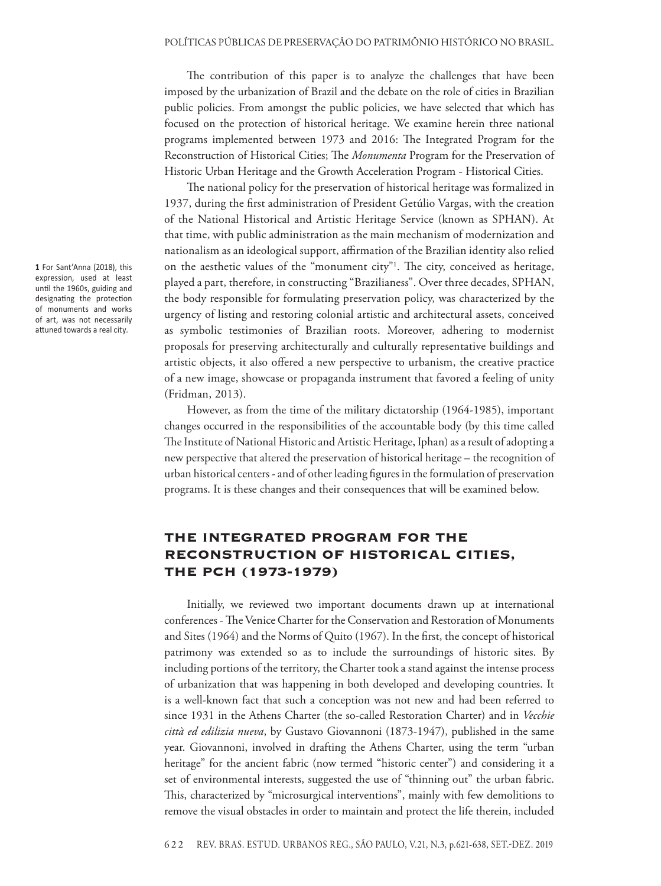The contribution of this paper is to analyze the challenges that have been imposed by the urbanization of Brazil and the debate on the role of cities in Brazilian public policies. From amongst the public policies, we have selected that which has focused on the protection of historical heritage. We examine herein three national programs implemented between 1973 and 2016: The Integrated Program for the Reconstruction of Historical Cities; The *Monumenta* Program for the Preservation of Historic Urban Heritage and the Growth Acceleration Program - Historical Cities.

The national policy for the preservation of historical heritage was formalized in 1937, during the first administration of President Getúlio Vargas, with the creation of the National Historical and Artistic Heritage Service (known as SPHAN). At that time, with public administration as the main mechanism of modernization and nationalism as an ideological support, affirmation of the Brazilian identity also relied on the aesthetic values of the "monument city"1 . The city, conceived as heritage, played a part, therefore, in constructing "Brazilianess". Over three decades, SPHAN, the body responsible for formulating preservation policy, was characterized by the urgency of listing and restoring colonial artistic and architectural assets, conceived as symbolic testimonies of Brazilian roots. Moreover, adhering to modernist proposals for preserving architecturally and culturally representative buildings and artistic objects, it also offered a new perspective to urbanism, the creative practice of a new image, showcase or propaganda instrument that favored a feeling of unity (Fridman, 2013).

However, as from the time of the military dictatorship (1964-1985), important changes occurred in the responsibilities of the accountable body (by this time called The Institute of National Historic and Artistic Heritage, Iphan) as a result of adopting a new perspective that altered the preservation of historical heritage – the recognition of urban historical centers - and of other leading figures in the formulation of preservation programs. It is these changes and their consequences that will be examined below.

# The Integrated Program for the Reconstruction of Historical Cities, the PCH (1973-1979)

Initially, we reviewed two important documents drawn up at international conferences - The Venice Charter for the Conservation and Restoration of Monuments and Sites (1964) and the Norms of Quito (1967). In the first, the concept of historical patrimony was extended so as to include the surroundings of historic sites. By including portions of the territory, the Charter took a stand against the intense process of urbanization that was happening in both developed and developing countries. It is a well-known fact that such a conception was not new and had been referred to since 1931 in the Athens Charter (the so-called Restoration Charter) and in *Vecchie città ed edilizia nueva*, by Gustavo Giovannoni (1873-1947), published in the same year. Giovannoni, involved in drafting the Athens Charter, using the term "urban heritage" for the ancient fabric (now termed "historic center") and considering it a set of environmental interests, suggested the use of "thinning out" the urban fabric. This, characterized by "microsurgical interventions", mainly with few demolitions to remove the visual obstacles in order to maintain and protect the life therein, included

**1** For Sant'Anna (2018), this expression, used at least until the 1960s, guiding and designating the protection of monuments and works of art, was not necessarily attuned towards a real city.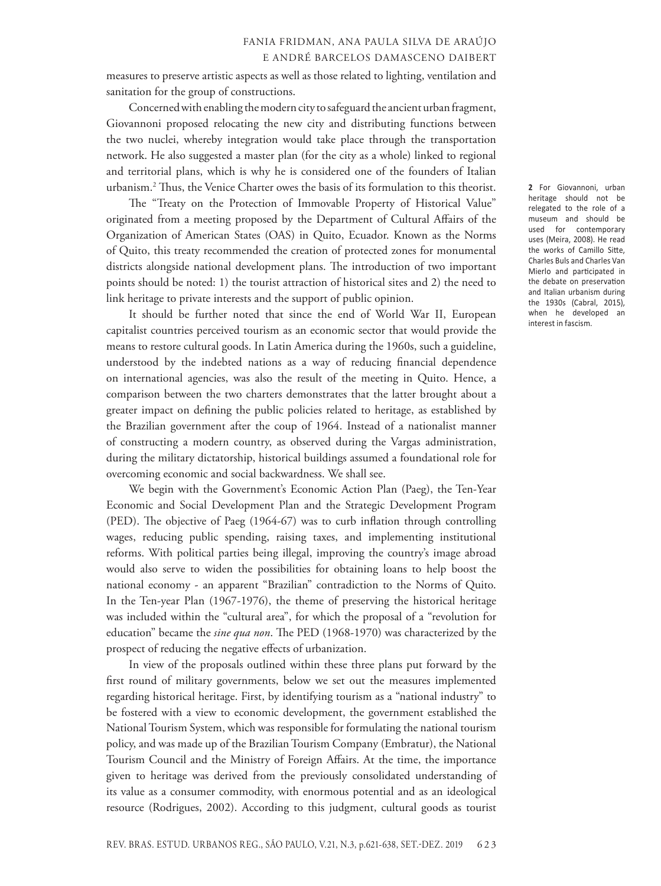measures to preserve artistic aspects as well as those related to lighting, ventilation and sanitation for the group of constructions.

Concerned with enabling the modern city to safeguard the ancient urban fragment, Giovannoni proposed relocating the new city and distributing functions between the two nuclei, whereby integration would take place through the transportation network. He also suggested a master plan (for the city as a whole) linked to regional and territorial plans, which is why he is considered one of the founders of Italian urbanism.2 Thus, the Venice Charter owes the basis of its formulation to this theorist.

The "Treaty on the Protection of Immovable Property of Historical Value" originated from a meeting proposed by the Department of Cultural Affairs of the Organization of American States (OAS) in Quito, Ecuador. Known as the Norms of Quito, this treaty recommended the creation of protected zones for monumental districts alongside national development plans. The introduction of two important points should be noted: 1) the tourist attraction of historical sites and 2) the need to link heritage to private interests and the support of public opinion.

It should be further noted that since the end of World War II, European capitalist countries perceived tourism as an economic sector that would provide the means to restore cultural goods. In Latin America during the 1960s, such a guideline, understood by the indebted nations as a way of reducing financial dependence on international agencies, was also the result of the meeting in Quito. Hence, a comparison between the two charters demonstrates that the latter brought about a greater impact on defining the public policies related to heritage, as established by the Brazilian government after the coup of 1964. Instead of a nationalist manner of constructing a modern country, as observed during the Vargas administration, during the military dictatorship, historical buildings assumed a foundational role for overcoming economic and social backwardness. We shall see.

We begin with the Government's Economic Action Plan (Paeg), the Ten-Year Economic and Social Development Plan and the Strategic Development Program (PED). The objective of Paeg (1964-67) was to curb inflation through controlling wages, reducing public spending, raising taxes, and implementing institutional reforms. With political parties being illegal, improving the country's image abroad would also serve to widen the possibilities for obtaining loans to help boost the national economy - an apparent "Brazilian" contradiction to the Norms of Quito. In the Ten-year Plan (1967-1976), the theme of preserving the historical heritage was included within the "cultural area", for which the proposal of a "revolution for education" became the *sine qua non*. The PED (1968-1970) was characterized by the prospect of reducing the negative effects of urbanization.

In view of the proposals outlined within these three plans put forward by the first round of military governments, below we set out the measures implemented regarding historical heritage. First, by identifying tourism as a "national industry" to be fostered with a view to economic development, the government established the National Tourism System, which was responsible for formulating the national tourism policy, and was made up of the Brazilian Tourism Company (Embratur), the National Tourism Council and the Ministry of Foreign Affairs. At the time, the importance given to heritage was derived from the previously consolidated understanding of its value as a consumer commodity, with enormous potential and as an ideological resource (Rodrigues, 2002). According to this judgment, cultural goods as tourist

**2** For Giovannoni, urban heritage should not be relegated to the role of a museum and should be used for contemporary uses (Meira, 2008). He read the works of Camillo Sitte, Charles Buls and Charles Van Mierlo and participated in the debate on preservation and Italian urbanism during the 1930s (Cabral, 2015), when he developed an interest in fascism.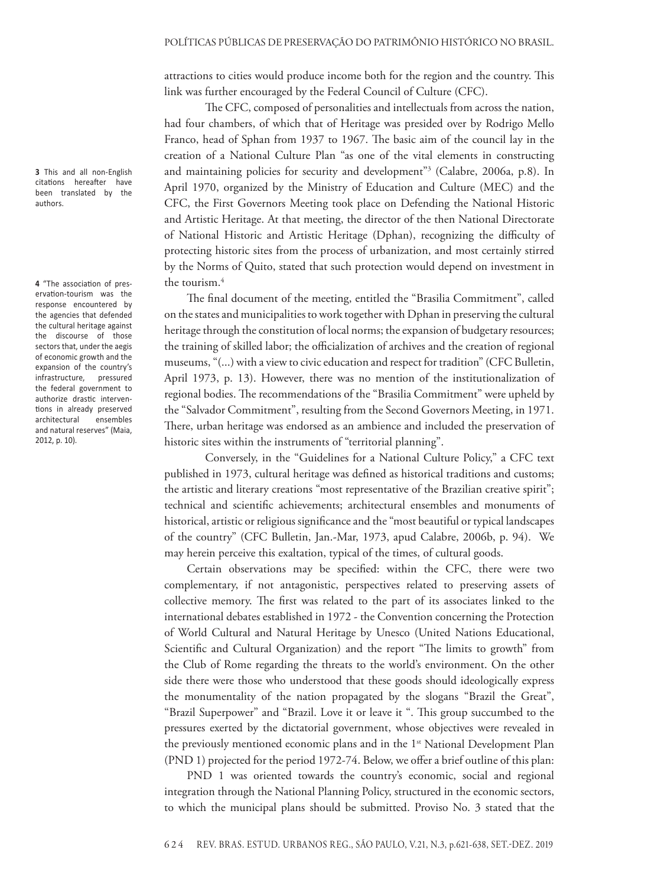attractions to cities would produce income both for the region and the country. This link was further encouraged by the Federal Council of Culture (CFC).

The CFC, composed of personalities and intellectuals from across the nation, had four chambers, of which that of Heritage was presided over by Rodrigo Mello Franco, head of Sphan from 1937 to 1967. The basic aim of the council lay in the creation of a National Culture Plan "as one of the vital elements in constructing and maintaining policies for security and development"3 (Calabre, 2006a, p.8). In April 1970, organized by the Ministry of Education and Culture (MEC) and the CFC, the First Governors Meeting took place on Defending the National Historic and Artistic Heritage. At that meeting, the director of the then National Directorate of National Historic and Artistic Heritage (Dphan), recognizing the difficulty of protecting historic sites from the process of urbanization, and most certainly stirred by the Norms of Quito, stated that such protection would depend on investment in the tourism.<sup>4</sup>

The final document of the meeting, entitled the "Brasilia Commitment", called on the states and municipalities to work together with Dphan in preserving the cultural heritage through the constitution of local norms; the expansion of budgetary resources; the training of skilled labor; the officialization of archives and the creation of regional museums, "(...) with a view to civic education and respect for tradition" (CFC Bulletin, April 1973, p. 13). However, there was no mention of the institutionalization of regional bodies. The recommendations of the "Brasilia Commitment" were upheld by the "Salvador Commitment", resulting from the Second Governors Meeting, in 1971. There, urban heritage was endorsed as an ambience and included the preservation of historic sites within the instruments of "territorial planning".

Conversely, in the "Guidelines for a National Culture Policy," a CFC text published in 1973, cultural heritage was defined as historical traditions and customs; the artistic and literary creations "most representative of the Brazilian creative spirit"; technical and scientific achievements; architectural ensembles and monuments of historical, artistic or religious significance and the "most beautiful or typical landscapes of the country" (CFC Bulletin, Jan.-Mar, 1973, apud Calabre, 2006b, p. 94). We may herein perceive this exaltation, typical of the times, of cultural goods.

Certain observations may be specified: within the CFC, there were two complementary, if not antagonistic, perspectives related to preserving assets of collective memory. The first was related to the part of its associates linked to the international debates established in 1972 - the Convention concerning the Protection of World Cultural and Natural Heritage by Unesco (United Nations Educational, Scientific and Cultural Organization) and the report "The limits to growth" from the Club of Rome regarding the threats to the world's environment. On the other side there were those who understood that these goods should ideologically express the monumentality of the nation propagated by the slogans "Brazil the Great", "Brazil Superpower" and "Brazil. Love it or leave it ". This group succumbed to the pressures exerted by the dictatorial government, whose objectives were revealed in the previously mentioned economic plans and in the 1<sup>st</sup> National Development Plan (PND 1) projected for the period 1972-74. Below, we offer a brief outline of this plan:

PND 1 was oriented towards the country's economic, social and regional integration through the National Planning Policy, structured in the economic sectors, to which the municipal plans should be submitted. Proviso No. 3 stated that the

**3** This and all non-English citations hereafter have been translated by the authors.

**4** "The association of preservation-tourism was the response encountered by the agencies that defended the cultural heritage against the discourse of those sectors that, under the aegis of economic growth and the expansion of the country's infrastructure, pressured the federal government to authorize drastic interventions in already preserved<br>architectural ensembles architectural and natural reserves" (Maia, 2012, p. 10).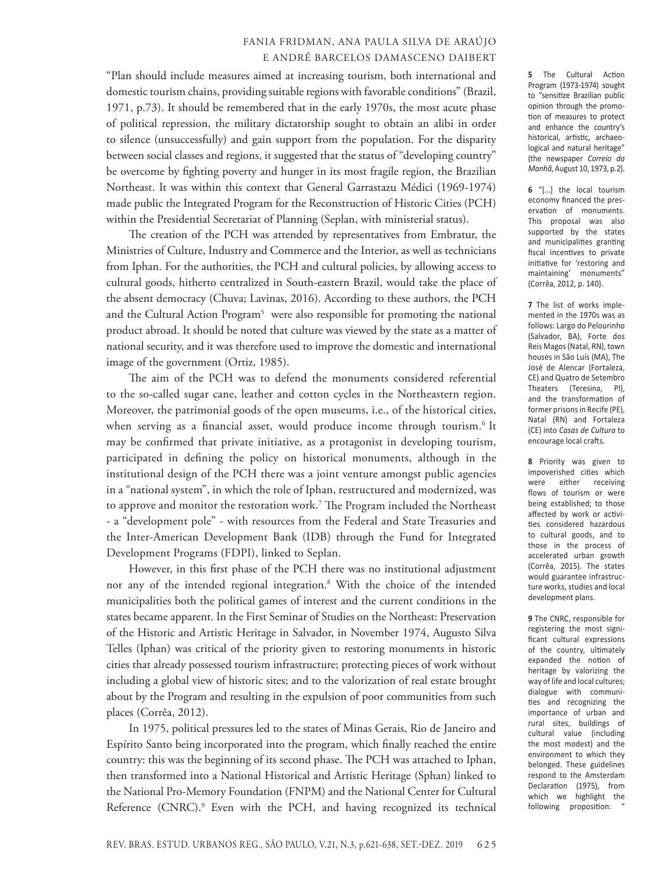"Plan should include measures aimed at increasing tourism, both international and domestic tourism chains, providing suitable regions with favorable conditions" (Brazil, 1971, p.73). It should be remembered that in the early 1970s, the most acute phase of political repression, the military dictatorship sought to obtain an alibi in order to silence (unsuccessfully) and gain support from the population. For the disparity between social classes and regions, it suggested that the status of "developing country" be overcome by fighting poverty and hunger in its most fragile region, the Brazilian Northeast. It was within this context that General Garrastazu Médici (1969-1974) made public the Integrated Program for the Reconstruction of Historic Cities (PCH) within the Presidential Secretariat of Planning (Seplan, with ministerial status).

The creation of the PCH was attended by representatives from Embratur, the Ministries of Culture, Industry and Commerce and the Interior, as well as technicians from Iphan. For the authorities, the PCH and cultural policies, by allowing access to cultural goods, hitherto centralized in South-eastern Brazil, would take the place of the absent democracy (Chuva; Lavinas, 2016). According to these authors, the PCH and the Cultural Action Program<sup>5</sup> were also responsible for promoting the national product abroad. It should be noted that culture was viewed by the state as a matter of national security, and it was therefore used to improve the domestic and international image of the government (Ortiz, 1985).

The aim of the PCH was to defend the monuments considered referential to the so-called sugar cane, leather and cotton cycles in the Northeastern region. Moreover, the patrimonial goods of the open museums, i.e., of the historical cities, when serving as a financial asset, would produce income through tourism.<sup>6</sup> It may be confirmed that private initiative, as a protagonist in developing tourism, participated in defining the policy on historical monuments, although in the institutional design of the PCH there was a joint venture amongst public agencies in a "national system", in which the role of Iphan, restructured and modernized, was to approve and monitor the restoration work.7 The Program included the Northeast - a "development pole" - with resources from the Federal and State Treasuries and the Inter-American Development Bank (IDB) through the Fund for Integrated Development Programs (FDPI), linked to Seplan.

However, in this first phase of the PCH there was no institutional adjustment nor any of the intended regional integration.8 With the choice of the intended municipalities both the political games of interest and the current conditions in the states became apparent. In the First Seminar of Studies on the Northeast: Preservation of the Historic and Artistic Heritage in Salvador, in November 1974, Augusto Silva Telles (Iphan) was critical of the priority given to restoring monuments in historic cities that already possessed tourism infrastructure; protecting pieces of work without including a global view of historic sites; and to the valorization of real estate brought about by the Program and resulting in the expulsion of poor communities from such places (Corrêa, 2012).

In 1975, political pressures led to the states of Minas Gerais, Rio de Janeiro and Espírito Santo being incorporated into the program, which finally reached the entire country: this was the beginning of its second phase. The PCH was attached to Iphan, then transformed into a National Historical and Artistic Heritage (Sphan) linked to the National Pro-Memory Foundation (FNPM) and the National Center for Cultural Reference (CNRC).<sup>9</sup> Even with the PCH, and having recognized its technical **5** The Cultural Action Program (1973-1974) sought to "sensitize Brazilian public opinion through the promotion of measures to protect and enhance the country's historical, artistic, archaeological and natural heritage" (the newspaper *Correio da Manhã*, August 10, 1973, p.2).

**6** "[...] the local tourism economy financed the preservation of monuments. This proposal was also supported by the states and municipalities granting fiscal incentives to private initiative for 'restoring and maintaining' monuments" (Corrêa, 2012, p. 140).

**7** The list of works implemented in the 1970s was as follows: Largo do Pelourinho (Salvador, BA), Forte dos Reis Magos (Natal, RN), town houses in São Luís (MA), The José de Alencar (Fortaleza, CE) and Quatro de Setembro Theaters (Teresina, PI), and the transformation of former prisons in Recife (PE), Natal (RN) and Fortaleza (CE) into *Casas de Cultura* to encourage local crafts.

**8** Priority was given to impoverished cities which were either receiving flows of tourism or were being established; to those affected by work or activities considered hazardous to cultural goods, and to those in the process of accelerated urban growth (Corrêa, 2015). The states would guarantee infrastructure works, studies and local development plans.

**9** The CNRC, responsible for registering the most significant cultural expressions of the country, ultimately expanded the notion of heritage by valorizing the way of life and local cultures; dialogue with communities and recognizing the importance of urban and rural sites, buildings of cultural value (including the most modest) and the environment to which they belonged. These guidelines respond to the Amsterdam Declaration (1975), from which we highlight the following proposition: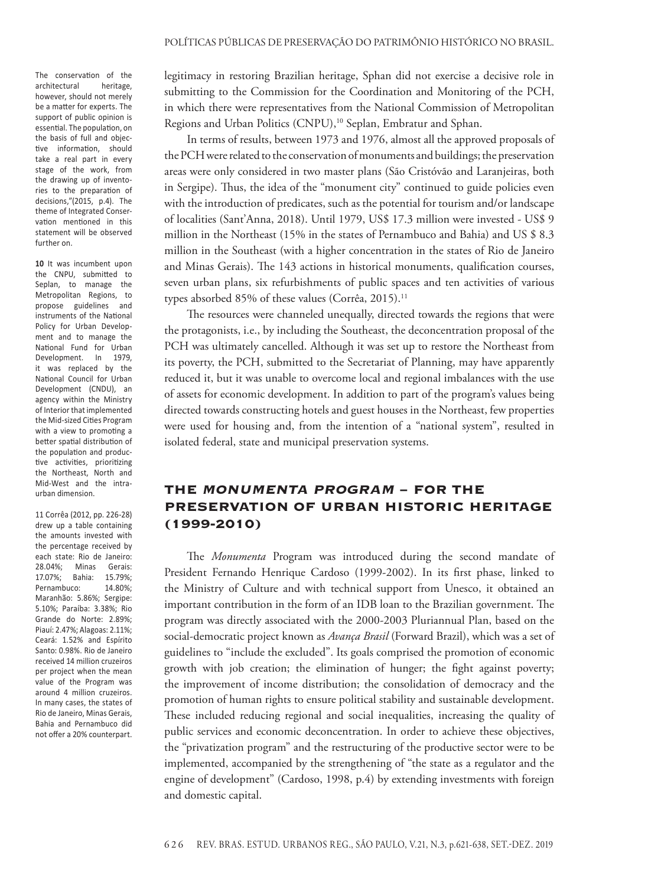The conservation of the architectural heritage, however, should not merely be a matter for experts. The support of public opinion is essential. The population, on the basis of full and objective information, should take a real part in every stage of the work, from the drawing up of inventories to the preparation of decisions,"(2015, p.4). The theme of Integrated Conservation mentioned in this statement will be observed further on.

**10** It was incumbent upon the CNPU, submitted to Seplan, to manage the Metropolitan Regions, to propose guidelines and instruments of the National Policy for Urban Development and to manage the National Fund for Urban Development. In 1979, it was replaced by the National Council for Urban Development (CNDU), an agency within the Ministry of Interior that implemented the Mid-sized Cities Program with a view to promoting a better spatial distribution of the population and productive activities, prioritizing the Northeast, North and Mid-West and the intraurban dimension.

11 Corrêa (2012, pp. 226-28) drew up a table containing the amounts invested with the percentage received by each state: Rio de Janeiro: 28.04%; Minas Gerais: 17.07%; Bahia: 15.79%; Pernambuco: 14.80%; Maranhão: 5.86%; Sergipe: 5.10%; Paraíba: 3.38%; Rio Grande do Norte: 2.89%; Piauí: 2.47%; Alagoas: 2.11%; Ceará: 1.52% and Espírito Santo: 0.98%. Rio de Janeiro received 14 million cruzeiros per project when the mean value of the Program was around 4 million cruzeiros. In many cases, the states of Rio de Janeiro, Minas Gerais, Bahia and Pernambuco did not offer a 20% counterpart.

legitimacy in restoring Brazilian heritage, Sphan did not exercise a decisive role in submitting to the Commission for the Coordination and Monitoring of the PCH, in which there were representatives from the National Commission of Metropolitan Regions and Urban Politics (CNPU),<sup>10</sup> Seplan, Embratur and Sphan.

In terms of results, between 1973 and 1976, almost all the approved proposals of the PCH were related to the conservation of monuments and buildings; the preservation areas were only considered in two master plans (São Cristóvão and Laranjeiras, both in Sergipe). Thus, the idea of the "monument city" continued to guide policies even with the introduction of predicates, such as the potential for tourism and/or landscape of localities (Sant'Anna, 2018). Until 1979, US\$ 17.3 million were invested - US\$ 9 million in the Northeast (15% in the states of Pernambuco and Bahia) and US \$ 8.3 million in the Southeast (with a higher concentration in the states of Rio de Janeiro and Minas Gerais). The 143 actions in historical monuments, qualification courses, seven urban plans, six refurbishments of public spaces and ten activities of various types absorbed 85% of these values (Corrêa, 2015).<sup>11</sup>

The resources were channeled unequally, directed towards the regions that were the protagonists, i.e., by including the Southeast, the deconcentration proposal of the PCH was ultimately cancelled. Although it was set up to restore the Northeast from its poverty, the PCH, submitted to the Secretariat of Planning, may have apparently reduced it, but it was unable to overcome local and regional imbalances with the use of assets for economic development. In addition to part of the program's values being directed towards constructing hotels and guest houses in the Northeast, few properties were used for housing and, from the intention of a "national system", resulted in isolated federal, state and municipal preservation systems.

# The Monumenta Program − For the Preservation of Urban Historic Heritage (1999-2010)

The *Monumenta* Program was introduced during the second mandate of President Fernando Henrique Cardoso (1999-2002). In its first phase, linked to the Ministry of Culture and with technical support from Unesco, it obtained an important contribution in the form of an IDB loan to the Brazilian government. The program was directly associated with the 2000-2003 Pluriannual Plan, based on the social-democratic project known as *Avança Brasil* (Forward Brazil), which was a set of guidelines to "include the excluded". Its goals comprised the promotion of economic growth with job creation; the elimination of hunger; the fight against poverty; the improvement of income distribution; the consolidation of democracy and the promotion of human rights to ensure political stability and sustainable development. These included reducing regional and social inequalities, increasing the quality of public services and economic deconcentration. In order to achieve these objectives, the "privatization program" and the restructuring of the productive sector were to be implemented, accompanied by the strengthening of "the state as a regulator and the engine of development" (Cardoso, 1998, p.4) by extending investments with foreign and domestic capital.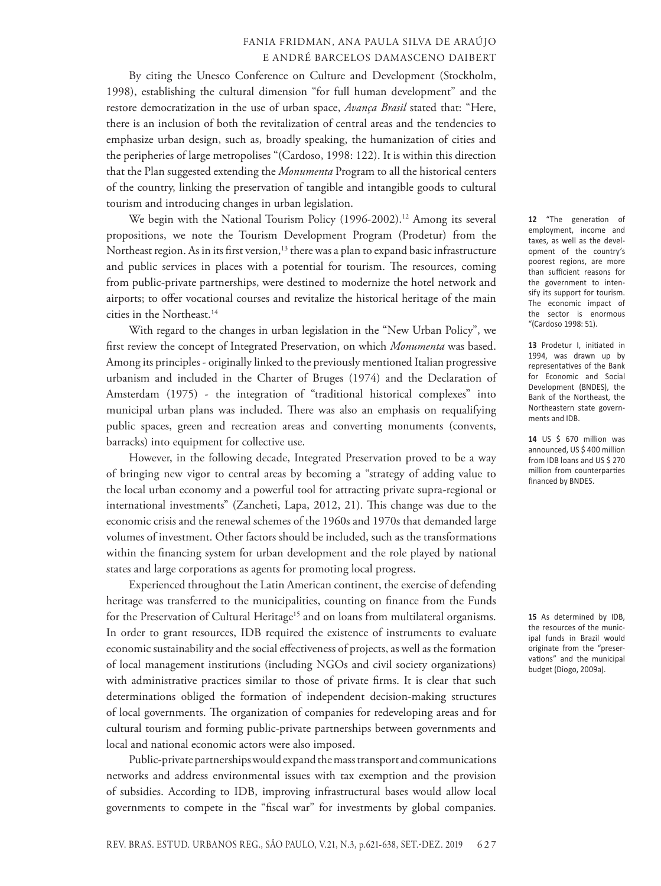By citing the Unesco Conference on Culture and Development (Stockholm, 1998), establishing the cultural dimension "for full human development" and the restore democratization in the use of urban space, *Avança Brasil* stated that: "Here, there is an inclusion of both the revitalization of central areas and the tendencies to emphasize urban design, such as, broadly speaking, the humanization of cities and the peripheries of large metropolises "(Cardoso, 1998: 122). It is within this direction that the Plan suggested extending the *Monumenta* Program to all the historical centers of the country, linking the preservation of tangible and intangible goods to cultural tourism and introducing changes in urban legislation.

We begin with the National Tourism Policy (1996-2002).<sup>12</sup> Among its several propositions, we note the Tourism Development Program (Prodetur) from the Northeast region. As in its first version,<sup>13</sup> there was a plan to expand basic infrastructure and public services in places with a potential for tourism. The resources, coming from public-private partnerships, were destined to modernize the hotel network and airports; to offer vocational courses and revitalize the historical heritage of the main cities in the Northeast.<sup>14</sup>

With regard to the changes in urban legislation in the "New Urban Policy", we first review the concept of Integrated Preservation, on which *Monumenta* was based. Among its principles - originally linked to the previously mentioned Italian progressive urbanism and included in the Charter of Bruges (1974) and the Declaration of Amsterdam (1975) - the integration of "traditional historical complexes" into municipal urban plans was included. There was also an emphasis on requalifying public spaces, green and recreation areas and converting monuments (convents, barracks) into equipment for collective use.

However, in the following decade, Integrated Preservation proved to be a way of bringing new vigor to central areas by becoming a "strategy of adding value to the local urban economy and a powerful tool for attracting private supra-regional or international investments" (Zancheti, Lapa, 2012, 21). This change was due to the economic crisis and the renewal schemes of the 1960s and 1970s that demanded large volumes of investment. Other factors should be included, such as the transformations within the financing system for urban development and the role played by national states and large corporations as agents for promoting local progress.

Experienced throughout the Latin American continent, the exercise of defending heritage was transferred to the municipalities, counting on finance from the Funds for the Preservation of Cultural Heritage<sup>15</sup> and on loans from multilateral organisms. In order to grant resources, IDB required the existence of instruments to evaluate economic sustainability and the social effectiveness of projects, as well as the formation of local management institutions (including NGOs and civil society organizations) with administrative practices similar to those of private firms. It is clear that such determinations obliged the formation of independent decision-making structures of local governments. The organization of companies for redeveloping areas and for cultural tourism and forming public-private partnerships between governments and local and national economic actors were also imposed.

Public-private partnerships would expand the mass transport and communications networks and address environmental issues with tax exemption and the provision of subsidies. According to IDB, improving infrastructural bases would allow local governments to compete in the "fiscal war" for investments by global companies.

**12** "The generation of employment, income and taxes, as well as the development of the country's poorest regions, are more than sufficient reasons for the government to intensify its support for tourism. The economic impact of the sector is enormous "(Cardoso 1998: 51).

**13** Prodetur I, initiated in 1994, was drawn up by representatives of the Bank for Economic and Social Development (BNDES), the Bank of the Northeast, the Northeastern state governments and IDB.

**14** US \$ 670 million was announced, US \$ 400 million from IDB loans and US \$ 270 million from counterparties financed by BNDES.

**15** As determined by IDB, the resources of the municipal funds in Brazil would originate from the "preservations" and the municipal budget (Diogo, 2009a).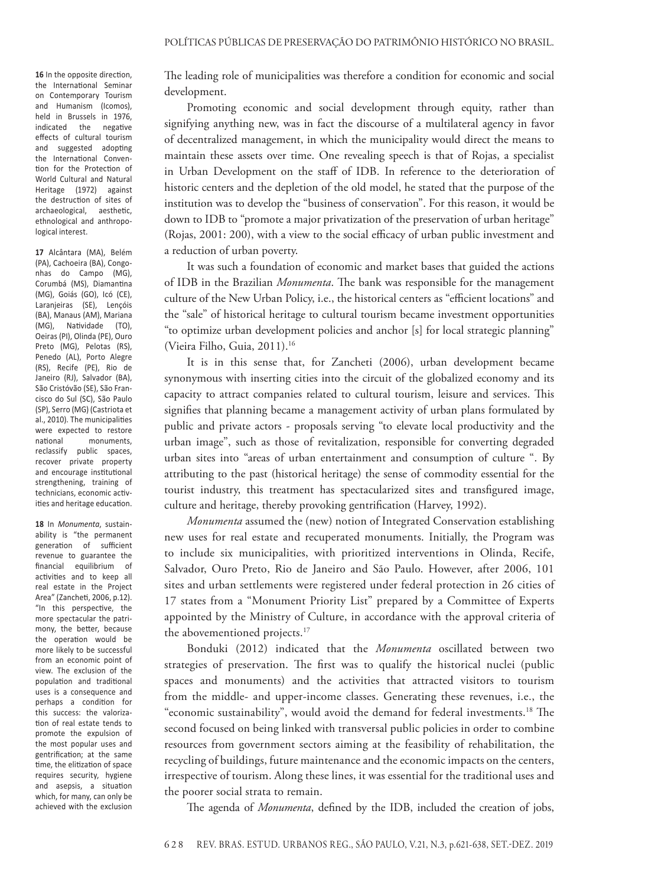**16** In the opposite direction, the International Seminar on Contemporary Tourism and Humanism (Icomos), held in Brussels in 1976, indicated the negative effects of cultural tourism and suggested adopting the International Convention for the Protection of World Cultural and Natural Heritage (1972) against the destruction of sites of archaeological, aesthetic, ethnological and anthropological interest.

**17** Alcântara (MA), Belém (PA), Cachoeira (BA), Congonhas do Campo (MG), Corumbá (MS), Diamantina (MG), Goiás (GO), Icó (CE), Laranjeiras (SE), Lençóis (BA), Manaus (AM), Mariana (MG), Natividade (TO), Oeiras (PI), Olinda (PE), Ouro Preto (MG), Pelotas (RS), Penedo (AL), Porto Alegre (RS), Recife (PE), Rio de Janeiro (RJ), Salvador (BA), São Cristóvão (SE), São Francisco do Sul (SC), São Paulo (SP), Serro (MG) (Castriota et al., 2010). The municipalities were expected to restore national monuments, reclassify public spaces, recover private property and encourage institutional strengthening, training of technicians, economic activities and heritage education.

**18** In *Monumenta*, sustainability is "the permanent generation of sufficient revenue to guarantee the financial equilibrium of activities and to keep all real estate in the Project Area" (Zancheti, 2006, p.12). "In this perspective, the more spectacular the patrimony, the better, because the operation would be more likely to be successful from an economic point of view. The exclusion of the population and traditional uses is a consequence and perhaps a condition for this success: the valorization of real estate tends to promote the expulsion of the most popular uses and gentrification; at the same time, the elitization of space requires security, hygiene and asepsis, a situation which, for many, can only be achieved with the exclusion

The leading role of municipalities was therefore a condition for economic and social development.

Promoting economic and social development through equity, rather than signifying anything new, was in fact the discourse of a multilateral agency in favor of decentralized management, in which the municipality would direct the means to maintain these assets over time. One revealing speech is that of Rojas, a specialist in Urban Development on the staff of IDB. In reference to the deterioration of historic centers and the depletion of the old model, he stated that the purpose of the institution was to develop the "business of conservation". For this reason, it would be down to IDB to "promote a major privatization of the preservation of urban heritage" (Rojas, 2001: 200), with a view to the social efficacy of urban public investment and a reduction of urban poverty.

It was such a foundation of economic and market bases that guided the actions of IDB in the Brazilian *Monumenta*. The bank was responsible for the management culture of the New Urban Policy, i.e., the historical centers as "efficient locations" and the "sale" of historical heritage to cultural tourism became investment opportunities "to optimize urban development policies and anchor [s] for local strategic planning" (Vieira Filho, Guia, 2011).16

It is in this sense that, for Zancheti (2006), urban development became synonymous with inserting cities into the circuit of the globalized economy and its capacity to attract companies related to cultural tourism, leisure and services. This signifies that planning became a management activity of urban plans formulated by public and private actors - proposals serving "to elevate local productivity and the urban image", such as those of revitalization, responsible for converting degraded urban sites into "areas of urban entertainment and consumption of culture ". By attributing to the past (historical heritage) the sense of commodity essential for the tourist industry, this treatment has spectacularized sites and transfigured image, culture and heritage, thereby provoking gentrification (Harvey, 1992).

*Monumenta* assumed the (new) notion of Integrated Conservation establishing new uses for real estate and recuperated monuments. Initially, the Program was to include six municipalities, with prioritized interventions in Olinda, Recife, Salvador, Ouro Preto, Rio de Janeiro and São Paulo. However, after 2006, 101 sites and urban settlements were registered under federal protection in 26 cities of 17 states from a "Monument Priority List" prepared by a Committee of Experts appointed by the Ministry of Culture, in accordance with the approval criteria of the abovementioned projects.<sup>17</sup>

Bonduki (2012) indicated that the *Monumenta* oscillated between two strategies of preservation. The first was to qualify the historical nuclei (public spaces and monuments) and the activities that attracted visitors to tourism from the middle- and upper-income classes. Generating these revenues, i.e., the "economic sustainability", would avoid the demand for federal investments.18 The second focused on being linked with transversal public policies in order to combine resources from government sectors aiming at the feasibility of rehabilitation, the recycling of buildings, future maintenance and the economic impacts on the centers, irrespective of tourism. Along these lines, it was essential for the traditional uses and the poorer social strata to remain.

The agenda of *Monumenta*, defined by the IDB, included the creation of jobs,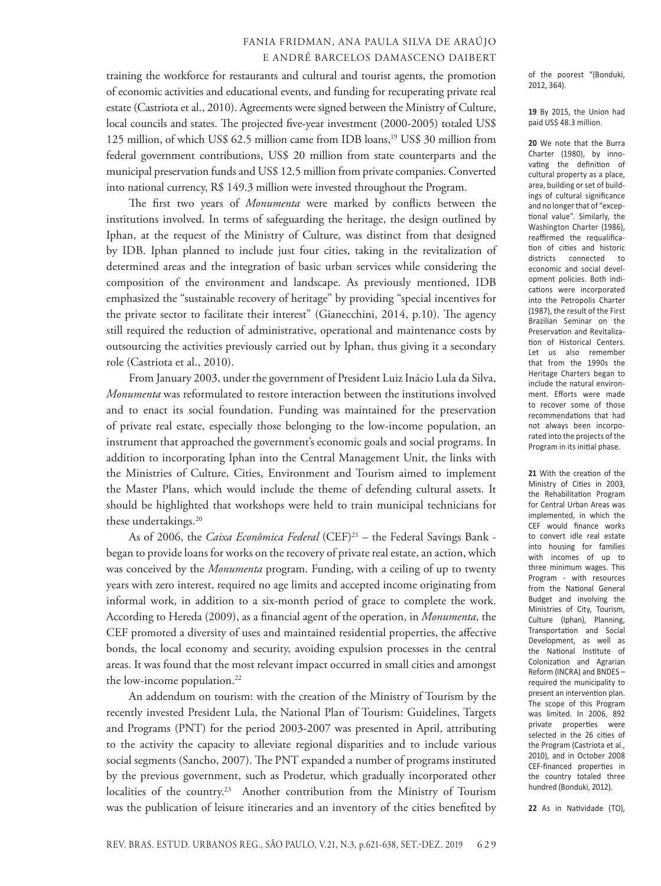training the workforce for restaurants and cultural and tourist agents, the promotion of economic activities and educational events, and funding for recuperating private real estate (Castriota et al., 2010). Agreements were signed between the Ministry of Culture, local councils and states. The projected five-year investment (2000-2005) totaled US\$ 125 million, of which US\$ 62.5 million came from IDB loans,19 US\$ 30 million from federal government contributions, US\$ 20 million from state counterparts and the municipal preservation funds and US\$ 12.5 million from private companies. Converted into national currency, R\$ 149.3 million were invested throughout the Program.

The first two years of *Monumenta* were marked by conflicts between the institutions involved. In terms of safeguarding the heritage, the design outlined by Iphan, at the request of the Ministry of Culture, was distinct from that designed by IDB. Iphan planned to include just four cities, taking in the revitalization of determined areas and the integration of basic urban services while considering the composition of the environment and landscape. As previously mentioned, IDB emphasized the "sustainable recovery of heritage" by providing "special incentives for the private sector to facilitate their interest" (Gianecchini, 2014, p.10). The agency still required the reduction of administrative, operational and maintenance costs by outsourcing the activities previously carried out by Iphan, thus giving it a secondary role (Castriota et al., 2010).

From January 2003, under the government of President Luiz Inácio Lula da Silva, *Monumenta* was reformulated to restore interaction between the institutions involved and to enact its social foundation. Funding was maintained for the preservation of private real estate, especially those belonging to the low-income population, an instrument that approached the government's economic goals and social programs. In addition to incorporating Iphan into the Central Management Unit, the links with the Ministries of Culture, Cities, Environment and Tourism aimed to implement the Master Plans, which would include the theme of defending cultural assets. It should be highlighted that workshops were held to train municipal technicians for these undertakings.<sup>20</sup>

As of 2006, the *Caixa Econômica Federal* (CEF)21 – the Federal Savings Bank began to provide loans for works on the recovery of private real estate, an action, which was conceived by the *Monumenta* program. Funding, with a ceiling of up to twenty years with zero interest, required no age limits and accepted income originating from informal work, in addition to a six-month period of grace to complete the work. According to Hereda (2009), as a financial agent of the operation, in *Monumenta*, the CEF promoted a diversity of uses and maintained residential properties, the affective bonds, the local economy and security, avoiding expulsion processes in the central areas. It was found that the most relevant impact occurred in small cities and amongst the low-income population.<sup>22</sup>

An addendum on tourism: with the creation of the Ministry of Tourism by the recently invested President Lula, the National Plan of Tourism: Guidelines, Targets and Programs (PNT) for the period 2003-2007 was presented in April, attributing to the activity the capacity to alleviate regional disparities and to include various social segments (Sancho, 2007). The PNT expanded a number of programs instituted by the previous government, such as Prodetur, which gradually incorporated other localities of the country.<sup>23</sup> Another contribution from the Ministry of Tourism was the publication of leisure itineraries and an inventory of the cities benefited by of the poorest "(Bonduki, 2012, 364).

**19** By 2015, the Union had paid US\$ 48.3 million.

**20** We note that the Burra Charter (1980), by innovating the definition of cultural property as a place, area, building or set of buildings of cultural significance and no longer that of "exceptional value". Similarly, the Washington Charter (1986), reaffirmed the requalification of cities and historic districts connected to economic and social development policies. Both indications were incorporated into the Petropolis Charter (1987), the result of the First Brazilian Seminar on the Preservation and Revitalization of Historical Centers. Let us also remember that from the 1990s the Heritage Charters began to include the natural environment. Efforts were made to recover some of those recommendations that had not always been incorporated into the projects of the Program in its initial phase.

**21** With the creation of the Ministry of Cities in 2003, the Rehabilitation Program for Central Urban Areas was implemented, in which the CEF would finance works to convert idle real estate into housing for families with incomes of up to three minimum wages. This Program - with resources from the National General Budget and involving the Ministries of City, Tourism, Culture (Iphan), Planning, Transportation and Social Development, as well as the National Institute of Colonization and Agrarian Reform (INCRA) and BNDES – required the municipality to present an intervention plan. The scope of this Program was limited. In 2006, 892 private properties were selected in the 26 cities of the Program (Castriota et al., 2010), and in October 2008 CEF-financed properties in the country totaled three hundred (Bonduki, 2012).

**22** As in Natividade (TO),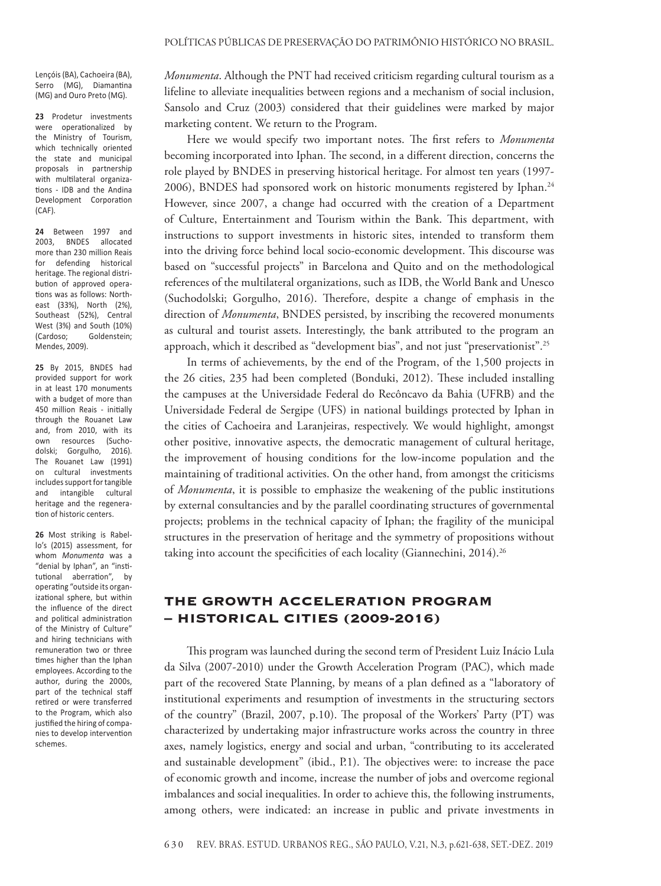Lençóis (BA), Cachoeira (BA), Serro (MG), Diamantina (MG) and Ouro Preto (MG).

**23** Prodetur investments were operationalized by the Ministry of Tourism, which technically oriented the state and municipal proposals in partnership with multilateral organizations - IDB and the Andina Development Corporation (CAF).

**24** Between 1997 and 2003, BNDES allocated more than 230 million Reais for defending historical heritage. The regional distribution of approved operations was as follows: Northeast (33%), North (2%), Southeast (52%), Central West (3%) and South (10%) (Cardoso; Goldenstein; Mendes, 2009).

**25** By 2015, BNDES had provided support for work in at least 170 monuments with a budget of more than 450 million Reais - initially through the Rouanet Law and, from 2010, with its own resources (Suchodolski; Gorgulho, 2016). The Rouanet Law (1991) on cultural investments includes support for tangible and intangible cultural heritage and the regeneration of historic centers.

**26** Most striking is Rabello's (2015) assessment, for whom *Monumenta* was a "denial by Iphan", an "institutional aberration", by operating "outside its organizational sphere, but within the influence of the direct and political administration of the Ministry of Culture" and hiring technicians with remuneration two or three times higher than the Iphan employees. According to the author, during the 2000s, part of the technical staff retired or were transferred to the Program, which also justified the hiring of companies to develop intervention schemes.

*Monumenta*. Although the PNT had received criticism regarding cultural tourism as a lifeline to alleviate inequalities between regions and a mechanism of social inclusion, Sansolo and Cruz (2003) considered that their guidelines were marked by major marketing content. We return to the Program.

Here we would specify two important notes. The first refers to *Monumenta* becoming incorporated into Iphan. The second, in a different direction, concerns the role played by BNDES in preserving historical heritage. For almost ten years (1997- 2006), BNDES had sponsored work on historic monuments registered by Iphan.<sup>24</sup> However, since 2007, a change had occurred with the creation of a Department of Culture, Entertainment and Tourism within the Bank. This department, with instructions to support investments in historic sites, intended to transform them into the driving force behind local socio-economic development. This discourse was based on "successful projects" in Barcelona and Quito and on the methodological references of the multilateral organizations, such as IDB, the World Bank and Unesco (Suchodolski; Gorgulho, 2016). Therefore, despite a change of emphasis in the direction of *Monumenta*, BNDES persisted, by inscribing the recovered monuments as cultural and tourist assets. Interestingly, the bank attributed to the program an approach, which it described as "development bias", and not just "preservationist".25

In terms of achievements, by the end of the Program, of the 1,500 projects in the 26 cities, 235 had been completed (Bonduki, 2012). These included installing the campuses at the Universidade Federal do Recôncavo da Bahia (UFRB) and the Universidade Federal de Sergipe (UFS) in national buildings protected by Iphan in the cities of Cachoeira and Laranjeiras, respectively. We would highlight, amongst other positive, innovative aspects, the democratic management of cultural heritage, the improvement of housing conditions for the low-income population and the maintaining of traditional activities. On the other hand, from amongst the criticisms of *Monumenta*, it is possible to emphasize the weakening of the public institutions by external consultancies and by the parallel coordinating structures of governmental projects; problems in the technical capacity of Iphan; the fragility of the municipal structures in the preservation of heritage and the symmetry of propositions without taking into account the specificities of each locality (Giannechini, 2014).<sup>26</sup>

# The Growth Acceleration Program – Historical Cities (2009-2016)

This program was launched during the second term of President Luiz Inácio Lula da Silva (2007-2010) under the Growth Acceleration Program (PAC), which made part of the recovered State Planning, by means of a plan defined as a "laboratory of institutional experiments and resumption of investments in the structuring sectors of the country" (Brazil, 2007, p.10). The proposal of the Workers' Party (PT) was characterized by undertaking major infrastructure works across the country in three axes, namely logistics, energy and social and urban, "contributing to its accelerated and sustainable development" (ibid., P.1). The objectives were: to increase the pace of economic growth and income, increase the number of jobs and overcome regional imbalances and social inequalities. In order to achieve this, the following instruments, among others, were indicated: an increase in public and private investments in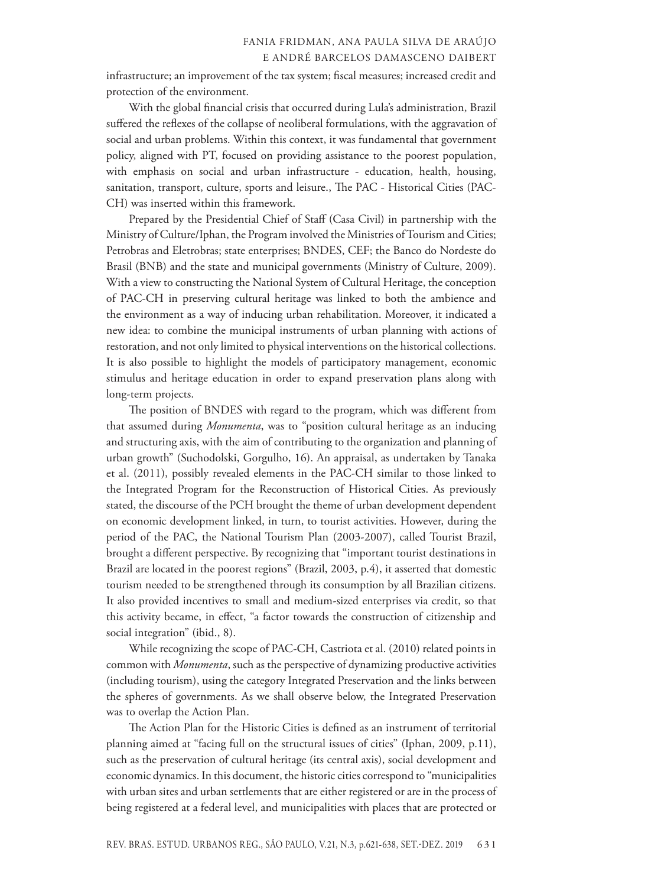infrastructure; an improvement of the tax system; fiscal measures; increased credit and protection of the environment.

With the global financial crisis that occurred during Lula's administration, Brazil suffered the reflexes of the collapse of neoliberal formulations, with the aggravation of social and urban problems. Within this context, it was fundamental that government policy, aligned with PT, focused on providing assistance to the poorest population, with emphasis on social and urban infrastructure - education, health, housing, sanitation, transport, culture, sports and leisure., The PAC - Historical Cities (PAC-CH) was inserted within this framework.

Prepared by the Presidential Chief of Staff (Casa Civil) in partnership with the Ministry of Culture/Iphan, the Program involved the Ministries of Tourism and Cities; Petrobras and Eletrobras; state enterprises; BNDES, CEF; the Banco do Nordeste do Brasil (BNB) and the state and municipal governments (Ministry of Culture, 2009). With a view to constructing the National System of Cultural Heritage, the conception of PAC-CH in preserving cultural heritage was linked to both the ambience and the environment as a way of inducing urban rehabilitation. Moreover, it indicated a new idea: to combine the municipal instruments of urban planning with actions of restoration, and not only limited to physical interventions on the historical collections. It is also possible to highlight the models of participatory management, economic stimulus and heritage education in order to expand preservation plans along with long-term projects.

The position of BNDES with regard to the program, which was different from that assumed during *Monumenta*, was to "position cultural heritage as an inducing and structuring axis, with the aim of contributing to the organization and planning of urban growth" (Suchodolski, Gorgulho, 16). An appraisal, as undertaken by Tanaka et al. (2011), possibly revealed elements in the PAC-CH similar to those linked to the Integrated Program for the Reconstruction of Historical Cities. As previously stated, the discourse of the PCH brought the theme of urban development dependent on economic development linked, in turn, to tourist activities. However, during the period of the PAC, the National Tourism Plan (2003-2007), called Tourist Brazil, brought a different perspective. By recognizing that "important tourist destinations in Brazil are located in the poorest regions" (Brazil, 2003, p.4), it asserted that domestic tourism needed to be strengthened through its consumption by all Brazilian citizens. It also provided incentives to small and medium-sized enterprises via credit, so that this activity became, in effect, "a factor towards the construction of citizenship and social integration" (ibid., 8).

While recognizing the scope of PAC-CH, Castriota et al. (2010) related points in common with *Monumenta*, such as the perspective of dynamizing productive activities (including tourism), using the category Integrated Preservation and the links between the spheres of governments. As we shall observe below, the Integrated Preservation was to overlap the Action Plan.

The Action Plan for the Historic Cities is defined as an instrument of territorial planning aimed at "facing full on the structural issues of cities" (Iphan, 2009, p.11), such as the preservation of cultural heritage (its central axis), social development and economic dynamics. In this document, the historic cities correspond to "municipalities with urban sites and urban settlements that are either registered or are in the process of being registered at a federal level, and municipalities with places that are protected or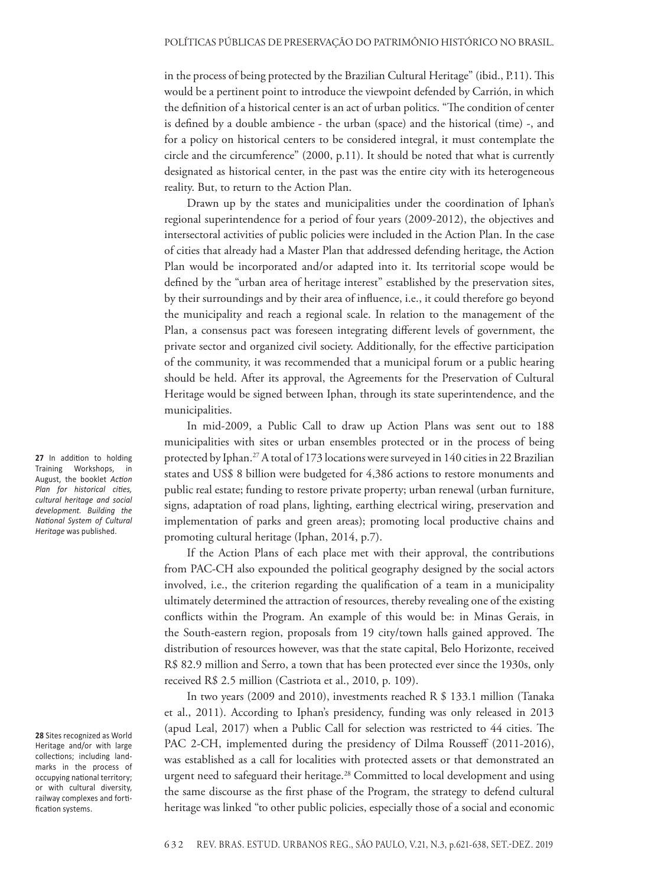in the process of being protected by the Brazilian Cultural Heritage" (ibid., P.11). This would be a pertinent point to introduce the viewpoint defended by Carrión, in which the definition of a historical center is an act of urban politics. "The condition of center is defined by a double ambience - the urban (space) and the historical (time) -, and for a policy on historical centers to be considered integral, it must contemplate the circle and the circumference" (2000, p.11). It should be noted that what is currently designated as historical center, in the past was the entire city with its heterogeneous reality. But, to return to the Action Plan.

Drawn up by the states and municipalities under the coordination of Iphan's regional superintendence for a period of four years (2009-2012), the objectives and intersectoral activities of public policies were included in the Action Plan. In the case of cities that already had a Master Plan that addressed defending heritage, the Action Plan would be incorporated and/or adapted into it. Its territorial scope would be defined by the "urban area of heritage interest" established by the preservation sites, by their surroundings and by their area of influence, i.e., it could therefore go beyond the municipality and reach a regional scale. In relation to the management of the Plan, a consensus pact was foreseen integrating different levels of government, the private sector and organized civil society. Additionally, for the effective participation of the community, it was recommended that a municipal forum or a public hearing should be held. After its approval, the Agreements for the Preservation of Cultural Heritage would be signed between Iphan, through its state superintendence, and the municipalities.

In mid-2009, a Public Call to draw up Action Plans was sent out to 188 municipalities with sites or urban ensembles protected or in the process of being protected by Iphan.<sup>27</sup> A total of 173 locations were surveyed in 140 cities in 22 Brazilian states and US\$ 8 billion were budgeted for 4,386 actions to restore monuments and public real estate; funding to restore private property; urban renewal (urban furniture, signs, adaptation of road plans, lighting, earthing electrical wiring, preservation and implementation of parks and green areas); promoting local productive chains and promoting cultural heritage (Iphan, 2014, p.7).

If the Action Plans of each place met with their approval, the contributions from PAC-CH also expounded the political geography designed by the social actors involved, i.e., the criterion regarding the qualification of a team in a municipality ultimately determined the attraction of resources, thereby revealing one of the existing conflicts within the Program. An example of this would be: in Minas Gerais, in the South-eastern region, proposals from 19 city/town halls gained approved. The distribution of resources however, was that the state capital, Belo Horizonte, received R\$ 82.9 million and Serro, a town that has been protected ever since the 1930s, only received R\$ 2.5 million (Castriota et al., 2010, p. 109).

In two years (2009 and 2010), investments reached R \$ 133.1 million (Tanaka et al., 2011). According to Iphan's presidency, funding was only released in 2013 (apud Leal, 2017) when a Public Call for selection was restricted to 44 cities. The PAC 2-CH, implemented during the presidency of Dilma Rousseff (2011-2016), was established as a call for localities with protected assets or that demonstrated an urgent need to safeguard their heritage.<sup>28</sup> Committed to local development and using the same discourse as the first phase of the Program, the strategy to defend cultural heritage was linked "to other public policies, especially those of a social and economic

**27** In addition to holding Training Workshops, in August, the booklet *Action Plan for historical cities, cultural heritage and social development. Building the National System of Cultural Heritage* was published.

**28** Sites recognized as World Heritage and/or with large collections; including landmarks in the process of occupying national territory; or with cultural diversity, railway complexes and fortification systems.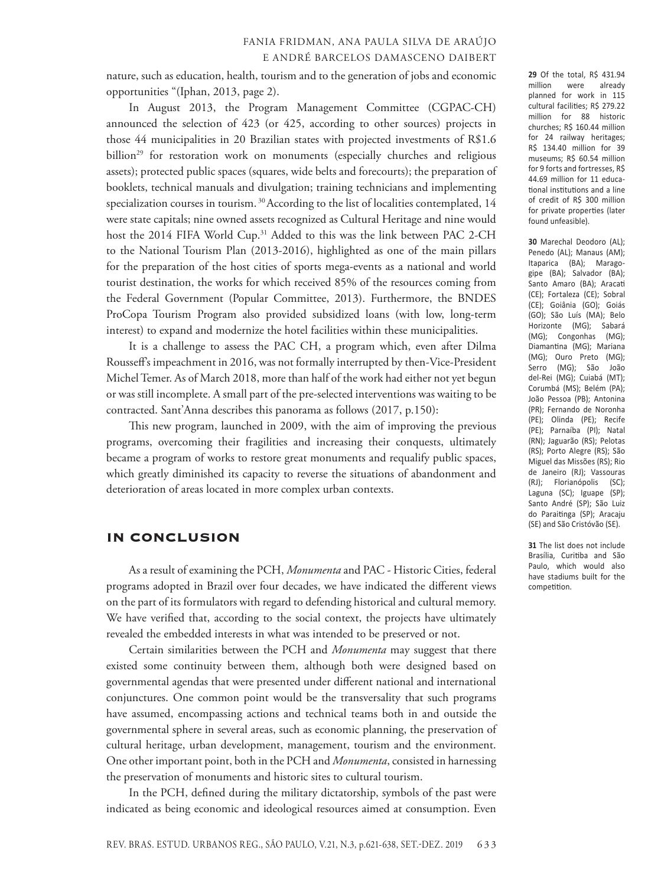nature, such as education, health, tourism and to the generation of jobs and economic opportunities "(Iphan, 2013, page 2).

In August 2013, the Program Management Committee (CGPAC-CH) announced the selection of 423 (or 425, according to other sources) projects in those 44 municipalities in 20 Brazilian states with projected investments of R\$1.6 billion<sup>29</sup> for restoration work on monuments (especially churches and religious assets); protected public spaces (squares, wide belts and forecourts); the preparation of booklets, technical manuals and divulgation; training technicians and implementing specialization courses in tourism.<sup>30</sup> According to the list of localities contemplated, 14 were state capitals; nine owned assets recognized as Cultural Heritage and nine would host the 2014 FIFA World Cup.<sup>31</sup> Added to this was the link between PAC 2-CH to the National Tourism Plan (2013-2016), highlighted as one of the main pillars for the preparation of the host cities of sports mega-events as a national and world tourist destination, the works for which received 85% of the resources coming from the Federal Government (Popular Committee, 2013). Furthermore, the BNDES ProCopa Tourism Program also provided subsidized loans (with low, long-term interest) to expand and modernize the hotel facilities within these municipalities.

It is a challenge to assess the PAC CH, a program which, even after Dilma Rousseff's impeachment in 2016, was not formally interrupted by then-Vice-President Michel Temer. As of March 2018, more than half of the work had either not yet begun or was still incomplete. A small part of the pre-selected interventions was waiting to be contracted. Sant'Anna describes this panorama as follows (2017, p.150):

This new program, launched in 2009, with the aim of improving the previous programs, overcoming their fragilities and increasing their conquests, ultimately became a program of works to restore great monuments and requalify public spaces, which greatly diminished its capacity to reverse the situations of abandonment and deterioration of areas located in more complex urban contexts.

#### In conclusion

As a result of examining the PCH, *Monumenta* and PAC - Historic Cities, federal programs adopted in Brazil over four decades, we have indicated the different views on the part of its formulators with regard to defending historical and cultural memory. We have verified that, according to the social context, the projects have ultimately revealed the embedded interests in what was intended to be preserved or not.

Certain similarities between the PCH and *Monumenta* may suggest that there existed some continuity between them, although both were designed based on governmental agendas that were presented under different national and international conjunctures. One common point would be the transversality that such programs have assumed, encompassing actions and technical teams both in and outside the governmental sphere in several areas, such as economic planning, the preservation of cultural heritage, urban development, management, tourism and the environment. One other important point, both in the PCH and *Monumenta*, consisted in harnessing the preservation of monuments and historic sites to cultural tourism.

In the PCH, defined during the military dictatorship, symbols of the past were indicated as being economic and ideological resources aimed at consumption. Even

million were already planned for work in 115 cultural facilities; R\$ 279.22 million for 88 historic churches; R\$ 160.44 million for 24 railway heritages; R\$ 134.40 million for 39 museums; R\$ 60.54 million for 9 forts and fortresses, R\$ 44.69 million for 11 educational institutions and a line of credit of R\$ 300 million for private properties (later found unfeasible).

**29** Of the total, R\$ 431.94

**30** Marechal Deodoro (AL); Penedo (AL); Manaus (AM); Itaparica (BA); Maragogipe (BA); Salvador (BA); Santo Amaro (BA); Aracati (CE); Fortaleza (CE); Sobral (CE); Goiânia (GO); Goiás (GO); São Luís (MA); Belo Horizonte (MG); Sabará (MG); Congonhas (MG); Diamantina (MG); Mariana (MG); Ouro Preto (MG); Serro (MG); São João del-Rei (MG); Cuiabá (MT); Corumbá (MS); Belém (PA); João Pessoa (PB); Antonina (PR); Fernando de Noronha (PE); Olinda (PE); Recife (PE); Parnaíba (PI); Natal (RN); Jaguarão (RS); Pelotas (RS); Porto Alegre (RS); São Miguel das Missões (RS); Rio de Janeiro (RJ); Vassouras (RJ); Florianópolis (SC); Laguna (SC); Iguape (SP); Santo André (SP); São Luiz do Paraitinga (SP); Aracaju (SE) and São Cristóvão (SE).

**31** The list does not include Brasília, Curitiba and São Paulo, which would also have stadiums built for the competition.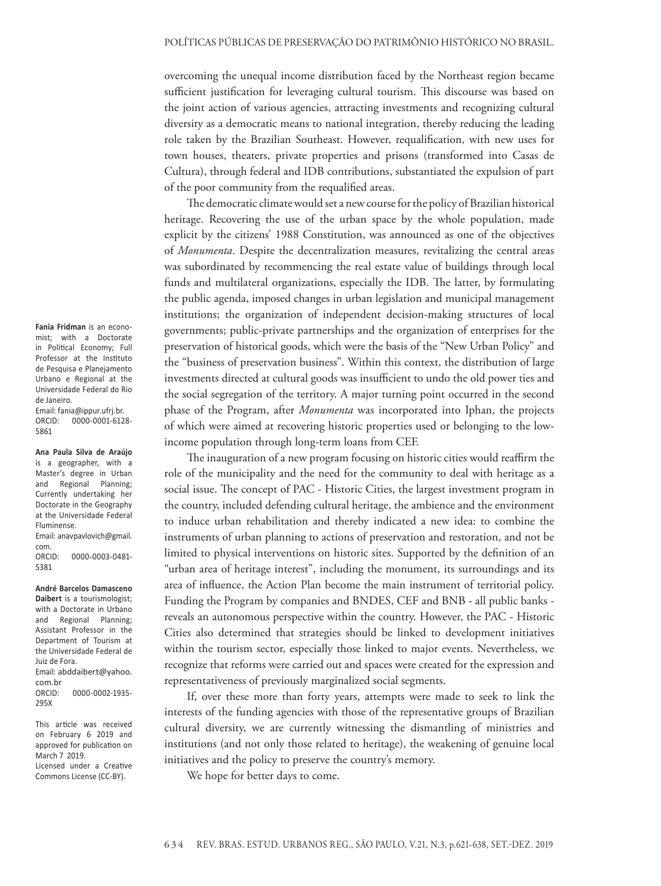overcoming the unequal income distribution faced by the Northeast region became sufficient justification for leveraging cultural tourism. This discourse was based on the joint action of various agencies, attracting investments and recognizing cultural diversity as a democratic means to national integration, thereby reducing the leading role taken by the Brazilian Southeast. However, requalification, with new uses for town houses, theaters, private properties and prisons (transformed into Casas de Cultura), through federal and IDB contributions, substantiated the expulsion of part of the poor community from the requalified areas.

The democratic climate would set a new course for the policy of Brazilian historical heritage. Recovering the use of the urban space by the whole population, made explicit by the citizens' 1988 Constitution, was announced as one of the objectives of *Monumenta*. Despite the decentralization measures, revitalizing the central areas was subordinated by recommencing the real estate value of buildings through local funds and multilateral organizations, especially the IDB. The latter, by formulating the public agenda, imposed changes in urban legislation and municipal management institutions; the organization of independent decision-making structures of local governments; public-private partnerships and the organization of enterprises for the preservation of historical goods, which were the basis of the "New Urban Policy" and the "business of preservation business". Within this context, the distribution of large investments directed at cultural goods was insufficient to undo the old power ties and the social segregation of the territory. A major turning point occurred in the second phase of the Program, after *Monumenta* was incorporated into Iphan, the projects of which were aimed at recovering historic properties used or belonging to the lowincome population through long-term loans from CEF.

The inauguration of a new program focusing on historic cities would reaffirm the role of the municipality and the need for the community to deal with heritage as a social issue. The concept of PAC - Historic Cities, the largest investment program in the country, included defending cultural heritage, the ambience and the environment to induce urban rehabilitation and thereby indicated a new idea: to combine the instruments of urban planning to actions of preservation and restoration, and not be limited to physical interventions on historic sites. Supported by the definition of an "urban area of heritage interest", including the monument, its surroundings and its area of influence, the Action Plan become the main instrument of territorial policy. Funding the Program by companies and BNDES, CEF and BNB - all public banks reveals an autonomous perspective within the country. However, the PAC - Historic Cities also determined that strategies should be linked to development initiatives within the tourism sector, especially those linked to major events. Nevertheless, we recognize that reforms were carried out and spaces were created for the expression and representativeness of previously marginalized social segments.

If, over these more than forty years, attempts were made to seek to link the interests of the funding agencies with those of the representative groups of Brazilian cultural diversity, we are currently witnessing the dismantling of ministries and institutions (and not only those related to heritage), the weakening of genuine local initiatives and the policy to preserve the country's memory.

We hope for better days to come.

**Fania Fridman** is an economist; with a Doctorate in Political Economy; Full Professor at the Instituto de Pesquisa e Planejamento Urbano e Regional at the Universidade Federal do Rio de Janeiro. Email: fania@ippur.ufrj.br. ORCID: 0000-0001-6128- 5861

**Ana Paula Silva de Araújo** is a geographer, with a Master's degree in Urban and Regional Planning; Currently undertaking her Doctorate in the Geography at the Universidade Federal Fluminense.

Email: anavpavlovich@gmail. com. ORCID: 0000-0003-0481- 5381

**André Barcelos Damasceno Daibert** is a tourismologist; with a Doctorate in Urbano and Regional Planning; Assistant Professor in the Department of Tourism at the Universidade Federal de Juiz de Fora. Email: abddaibert@yahoo.

com.br ORCID: 0000-0002-1935- 295X

This article was received on February 6 2019 and approved for publication on March 7 2019. Licensed under a Creative Commons License (CC-BY).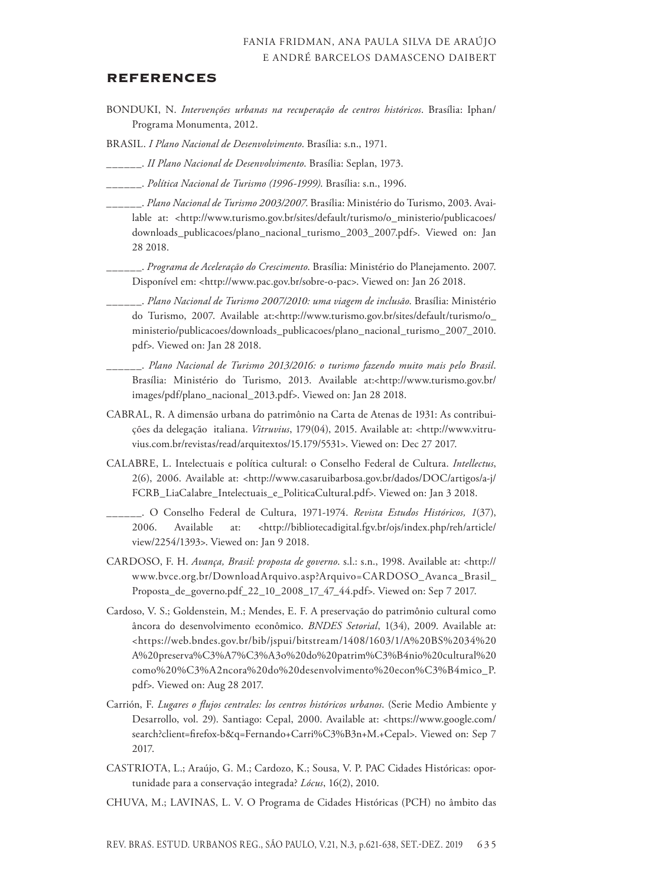#### **REFERENCES**

- BONDUKI, N. *Intervenções urbanas na recuperação de centros históricos*. Brasília: Iphan/ Programa Monumenta, 2012.
- BRASIL. *I Plano Nacional de Desenvolvimento*. Brasília: s.n., 1971.
- \_\_\_\_\_\_. *II Plano Nacional de Desenvolvimento*. Brasília: Seplan, 1973.
- \_\_\_\_\_\_. *Política Nacional de Turismo (1996-1999)*. Brasília: s.n., 1996.
- \_\_\_\_\_\_. *Plano Nacional de Turismo 2003/2007*. Brasília: Ministério do Turismo, 2003. Available at: <http://www.turismo.gov.br/sites/default/turismo/o\_ministerio/publicacoes/ downloads\_publicacoes/plano\_nacional\_turismo\_2003\_2007.pdf>. Viewed on: Jan 28 2018.
- \_\_\_\_\_\_. *Programa de Aceleração do Crescimento*. Brasília: Ministério do Planejamento. 2007. Disponível em: <http://www.pac.gov.br/sobre-o-pac>. Viewed on: Jan 26 2018.
	- \_\_\_\_\_\_. *Plano Nacional de Turismo 2007/2010: uma viagem de inclusão*. Brasília: Ministério do Turismo, 2007. Available at:<http://www.turismo.gov.br/sites/default/turismo/o\_ ministerio/publicacoes/downloads\_publicacoes/plano\_nacional\_turismo\_2007\_2010. pdf>. Viewed on: Jan 28 2018.
	- \_\_\_\_\_\_. *Plano Nacional de Turismo 2013/2016: o turismo fazendo muito mais pelo Brasil*. Brasília: Ministério do Turismo, 2013. Available at:<http://www.turismo.gov.br/ images/pdf/plano\_nacional\_2013.pdf>. Viewed on: Jan 28 2018.
- CABRAL, R. A dimensão urbana do patrimônio na Carta de Atenas de 1931: As contribuições da delegação italiana. *Vitruvius*, 179(04), 2015. Available at: <http://www.vitruvius.com.br/revistas/read/arquitextos/15.179/5531>. Viewed on: Dec 27 2017.
- CALABRE, L. Intelectuais e política cultural: o Conselho Federal de Cultura. *Intellectus*, 2(6), 2006. Available at: <http://www.casaruibarbosa.gov.br/dados/DOC/artigos/a-j/ FCRB\_LiaCalabre\_Intelectuais\_e\_PoliticaCultural.pdf>. Viewed on: Jan 3 2018.
	- \_\_\_\_\_\_. O Conselho Federal de Cultura, 1971-1974. *Revista Estudos Históricos, 1*(37), 2006. Available at: <http://bibliotecadigital.fgv.br/ojs/index.php/reh/article/ view/2254/1393>. Viewed on: Jan 9 2018.
- CARDOSO, F. H. *Avança, Brasil: proposta de governo*. s.l.: s.n., 1998. Available at: <http:// www.bvce.org.br/DownloadArquivo.asp?Arquivo=CARDOSO\_Avanca\_Brasil\_ Proposta\_de\_governo.pdf\_22\_10\_2008\_17\_47\_44.pdf>. Viewed on: Sep 7 2017.
- Cardoso, V. S.; Goldenstein, M.; Mendes, E. F. A preservação do patrimônio cultural como âncora do desenvolvimento econômico. *BNDES Setorial*, 1(34), 2009. Available at: <https://web.bndes.gov.br/bib/jspui/bitstream/1408/1603/1/A%20BS%2034%20 A%20preserva%C3%A7%C3%A3o%20do%20patrim%C3%B4nio%20cultural%20 como%20%C3%A2ncora%20do%20desenvolvimento%20econ%C3%B4mico\_P. pdf>. Viewed on: Aug 28 2017.
- Carrión, F. *Lugares o flujos centrales: los centros históricos urbanos*. (Serie Medio Ambiente y Desarrollo, vol. 29). Santiago: Cepal, 2000. Available at: <https://www.google.com/ search?client=firefox-b&q=Fernando+Carri%C3%B3n+M.+Cepal>. Viewed on: Sep 7 2017.
- CASTRIOTA, L.; Araújo, G. M.; Cardozo, K.; Sousa, V. P. PAC Cidades Históricas: oportunidade para a conservação integrada? *Lócus*, 16(2), 2010.
- CHUVA, M.; LAVINAS, L. V. O Programa de Cidades Históricas (PCH) no âmbito das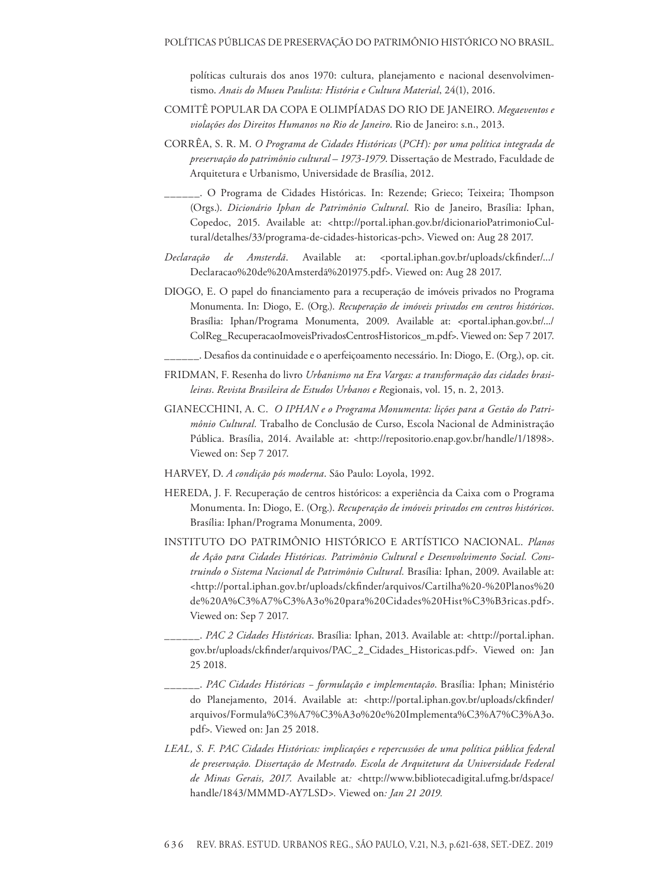políticas culturais dos anos 1970: cultura, planejamento e nacional desenvolvimentismo. *Anais do Museu Paulista: História e Cultura Material*, 24(1), 2016.

- COMITÊ POPULAR DA COPA E OLIMPÍADAS DO RIO DE JANEIRO. *Megaeventos e violações dos Direitos Humanos no Rio de Janeiro*. Rio de Janeiro: s.n., 2013.
- CORRÊA, S. R. M. *O Programa de Cidades Históricas* (*PCH*)*: por uma política integrada de preservação do patrimônio cultural – 1973-1979*. Dissertação de Mestrado, Faculdade de Arquitetura e Urbanismo, Universidade de Brasília, 2012.
- \_\_\_\_\_\_. O Programa de Cidades Históricas. In: Rezende; Grieco; Teixeira; Thompson (Orgs.). *Dicionário Iphan de Patrimônio Cultural*. Rio de Janeiro, Brasília: Iphan, Copedoc, 2015. Available at: <http://portal.iphan.gov.br/dicionarioPatrimonioCultural/detalhes/33/programa-de-cidades-historicas-pch>. Viewed on: Aug 28 2017.
- *Declaração de Amsterdã*. Available at: <portal.iphan.gov.br/uploads/ckfinder/.../ Declaracao%20de%20Amsterdã%201975.pdf>. Viewed on: Aug 28 2017.
- DIOGO, E. O papel do financiamento para a recuperação de imóveis privados no Programa Monumenta. In: Diogo, E. (Org.). *Recuperação de imóveis privados em centros históricos*. Brasília: Iphan/Programa Monumenta, 2009. Available at: <portal.iphan.gov.br/.../ ColReg\_RecuperacaoImoveisPrivadosCentrosHistoricos\_m.pdf>. Viewed on: Sep 7 2017.

\_\_\_\_\_\_. Desafios da continuidade e o aperfeiçoamento necessário. In: Diogo, E. (Org.), op. cit.

- FRIDMAN, F. Resenha do livro *Urbanismo na Era Vargas: a transformação das cidades brasileiras*. *Revista Brasileira de Estudos Urbanos e R*egionais, vol. 15, n. 2, 2013.
- GIANECCHINI, A. C. *O IPHAN e o Programa Monumenta: lições para a Gestão do Patrimônio Cultural.* Trabalho de Conclusão de Curso, Escola Nacional de Administração Pública. Brasília, 2014. Available at: <http://repositorio.enap.gov.br/handle/1/1898>. Viewed on: Sep 7 2017.
- HARVEY, D. *A condição pós moderna*. São Paulo: Loyola, 1992.
- HEREDA, J. F. Recuperação de centros históricos: a experiência da Caixa com o Programa Monumenta. In: Diogo, E. (Org.). *Recuperação de imóveis privados em centros históricos*. Brasília: Iphan/Programa Monumenta, 2009.
- INSTITUTO DO PATRIMÔNIO HISTÓRICO E ARTÍSTICO NACIONAL. *Planos de Ação para Cidades Históricas. Patrimônio Cultural e Desenvolvimento Social. Construindo o Sistema Nacional de Patrimônio Cultural.* Brasília: Iphan, 2009. Available at: <http://portal.iphan.gov.br/uploads/ckfinder/arquivos/Cartilha%20-%20Planos%20 de%20A%C3%A7%C3%A3o%20para%20Cidades%20Hist%C3%B3ricas.pdf>. Viewed on: Sep 7 2017.
- \_\_\_\_\_\_. *PAC 2 Cidades Históricas*. Brasília: Iphan, 2013. Available at: <http://portal.iphan. gov.br/uploads/ckfinder/arquivos/PAC\_2\_Cidades\_Historicas.pdf>. Viewed on: Jan 25 2018.
- \_\_\_\_\_\_. *PAC Cidades Históricas − formulação e implementação*. Brasília: Iphan; Ministério do Planejamento, 2014. Available at: <http://portal.iphan.gov.br/uploads/ckfinder/ arquivos/Formula%C3%A7%C3%A3o%20e%20Implementa%C3%A7%C3%A3o. pdf>. Viewed on: Jan 25 2018.
- *LEAL, S. F. PAC Cidades Históricas: implicações e repercussões de uma política pública federal de preservação. Dissertação de Mestrado. Escola de Arquitetura da Universidade Federal de Minas Gerais, 2017.* Available at*: <*http://www.bibliotecadigital.ufmg.br/dspace/ handle/1843/MMMD-AY7LSD*>.* Viewed on*: Jan 21 2019.*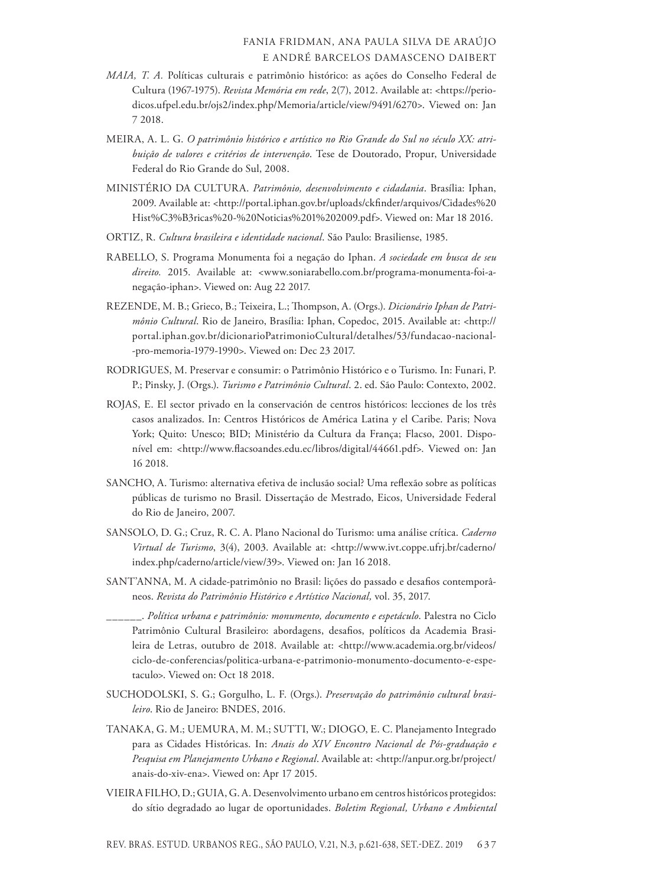- *MAIA, T. A.* Políticas culturais e patrimônio histórico: as ações do Conselho Federal de Cultura (1967-1975). *Revista Memória em rede*, 2(7), 2012. Available at: <https://periodicos.ufpel.edu.br/ojs2/index.php/Memoria/article/view/9491/6270>. Viewed on: Jan 7 2018.
- MEIRA, A. L. G. *O patrimônio histórico e artístico no Rio Grande do Sul no século XX: atribuição de valores e critérios de intervenção*. Tese de Doutorado, Propur, Universidade Federal do Rio Grande do Sul, 2008.
- MINISTÉRIO DA CULTURA. *Patrimônio, desenvolvimento e cidadania*. Brasília: Iphan, 2009. Available at: <http://portal.iphan.gov.br/uploads/ckfinder/arquivos/Cidades%20 Hist%C3%B3ricas%20-%20Noticias%201%202009.pdf>. Viewed on: Mar 18 2016.
- ORTIZ, R. *Cultura brasileira e identidade nacional*. São Paulo: Brasiliense, 1985.
- RABELLO, S. Programa Monumenta foi a negação do Iphan. *A sociedade em busca de seu direito.* 2015. Available at: <www.soniarabello.com.br/programa-monumenta-foi-anegação-iphan>. Viewed on: Aug 22 2017.
- REZENDE, M. B.; Grieco, B.; Teixeira, L.; Thompson, A. (Orgs.). *Dicionário Iphan de Patrimônio Cultural*. Rio de Janeiro, Brasília: Iphan, Copedoc, 2015. Available at: <http:// portal.iphan.gov.br/dicionarioPatrimonioCultural/detalhes/53/fundacao-nacional- -pro-memoria-1979-1990>. Viewed on: Dec 23 2017.
- RODRIGUES, M. Preservar e consumir: o Patrimônio Histórico e o Turismo. In: Funari, P. P.; Pinsky, J. (Orgs.). *Turismo e Patrimônio Cultural*. 2. ed. São Paulo: Contexto, 2002.
- ROJAS, E. El sector privado en la conservación de centros históricos: lecciones de los três casos analizados. In: Centros Históricos de América Latina y el Caribe. Paris; Nova York; Quito: Unesco; BID; Ministério da Cultura da França; Flacso, 2001. Disponível em: <http://www.flacsoandes.edu.ec/libros/digital/44661.pdf>. Viewed on: Jan 16 2018.
- SANCHO, A. Turismo: alternativa efetiva de inclusão social? Uma reflexão sobre as políticas públicas de turismo no Brasil. Dissertação de Mestrado, Eicos, Universidade Federal do Rio de Janeiro, 2007.
- SANSOLO, D. G.; Cruz, R. C. A. Plano Nacional do Turismo: uma análise crítica. *Caderno Virtual de Turismo*, 3(4), 2003. Available at: <http://www.ivt.coppe.ufrj.br/caderno/ index.php/caderno/article/view/39>. Viewed on: Jan 16 2018.
- SANT'ANNA, M. A cidade-patrimônio no Brasil: lições do passado e desafios contemporâneos. *Revista do Patrimônio Histórico e Artístico Nacional,* vol. 35, 2017.
- \_\_\_\_\_\_. *Política urbana e patrimônio: monumento, documento e espetáculo*. Palestra no Ciclo Patrimônio Cultural Brasileiro: abordagens, desafios, políticos da Academia Brasileira de Letras, outubro de 2018. Available at: <http://www.academia.org.br/videos/ ciclo-de-conferencias/politica-urbana-e-patrimonio-monumento-documento-e-espetaculo>. Viewed on: Oct 18 2018.
- SUCHODOLSKI, S. G.; Gorgulho, L. F. (Orgs.). *Preservação do patrimônio cultural brasileiro*. Rio de Janeiro: BNDES, 2016.
- TANAKA, G. M.; UEMURA, M. M.; SUTTI, W.; DIOGO, E. C. Planejamento Integrado para as Cidades Históricas. In: *Anais do XIV Encontro Nacional de Pós-graduação e Pesquisa em Planejamento Urbano e Regional*. Available at: <http://anpur.org.br/project/ anais-do-xiv-ena>. Viewed on: Apr 17 2015.
- VIEIRA FILHO, D.; GUIA, G. A. Desenvolvimento urbano em centros históricos protegidos: do sítio degradado ao lugar de oportunidades. *Boletim Regional, Urbano e Ambiental*